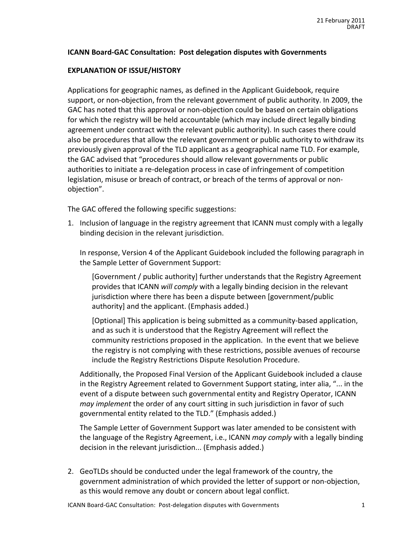# **ICANN Board-GAC Consultation: Post delegation disputes with Governments**

## **EXPLANATION OF ISSUE/HISTORY**

Applications for geographic names, as defined in the Applicant Guidebook, require support, or non-objection, from the relevant government of public authority. In 2009, the GAC has noted that this approval or non-objection could be based on certain obligations for which the registry will be held accountable (which may include direct legally binding agreement under contract with the relevant public authority). In such cases there could also be procedures that allow the relevant government or public authority to withdraw its previously given approval of the TLD applicant as a geographical name TLD. For example, the GAC advised that "procedures should allow relevant governments or public authorities to initiate a re-delegation process in case of infringement of competition legislation, misuse or breach of contract, or breach of the terms of approval or nonobjection".

The GAC offered the following specific suggestions:

1. Inclusion of language in the registry agreement that ICANN must comply with a legally binding decision in the relevant jurisdiction.

In response, Version 4 of the Applicant Guidebook included the following paragraph in the Sample Letter of Government Support:

[Government / public authority] further understands that the Registry Agreement provides that ICANN will comply with a legally binding decision in the relevant jurisdiction where there has been a dispute between [government/public authority] and the applicant. (Emphasis added.)

[Optional] This application is being submitted as a community-based application, and as such it is understood that the Registry Agreement will reflect the community restrictions proposed in the application. In the event that we believe the registry is not complying with these restrictions, possible avenues of recourse include the Registry Restrictions Dispute Resolution Procedure.

Additionally, the Proposed Final Version of the Applicant Guidebook included a clause in the Registry Agreement related to Government Support stating, inter alia, "... in the event of a dispute between such governmental entity and Registry Operator, ICANN *may implement* the order of any court sitting in such jurisdiction in favor of such governmental entity related to the TLD." (Emphasis added.)

The Sample Letter of Government Support was later amended to be consistent with the language of the Registry Agreement, i.e., ICANN *may comply* with a legally binding decision in the relevant jurisdiction... (Emphasis added.)

2. GeoTLDs should be conducted under the legal framework of the country, the government administration of which provided the letter of support or non-objection, as this would remove any doubt or concern about legal conflict.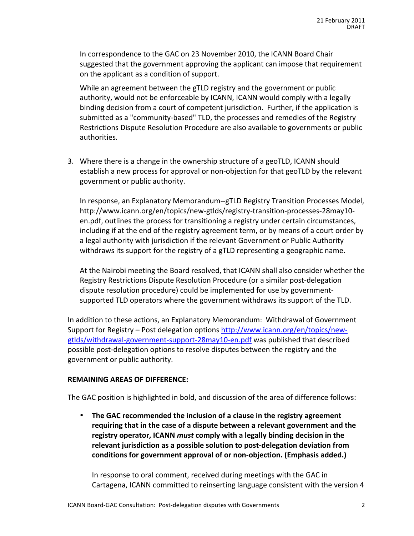In correspondence to the GAC on 23 November 2010, the ICANN Board Chair suggested that the government approving the applicant can impose that requirement on the applicant as a condition of support.

While an agreement between the gTLD registry and the government or public authority, would not be enforceable by ICANN, ICANN would comply with a legally binding decision from a court of competent jurisdiction. Further, if the application is submitted as a "community-based" TLD, the processes and remedies of the Registry Restrictions Dispute Resolution Procedure are also available to governments or public authorities.

3. Where there is a change in the ownership structure of a geoTLD, ICANN should establish a new process for approval or non-objection for that geoTLD by the relevant government or public authority.

In response, an Explanatory Memorandum--gTLD Registry Transition Processes Model, http://www.icann.org/en/topics/new-gtlds/registry-transition-processes-28may10en.pdf, outlines the process for transitioning a registry under certain circumstances, including if at the end of the registry agreement term, or by means of a court order by a legal authority with jurisdiction if the relevant Government or Public Authority withdraws its support for the registry of a gTLD representing a geographic name.

At the Nairobi meeting the Board resolved, that ICANN shall also consider whether the Registry Restrictions Dispute Resolution Procedure (or a similar post-delegation dispute resolution procedure) could be implemented for use by governmentsupported TLD operators where the government withdraws its support of the TLD.

In addition to these actions, an Explanatory Memorandum: Withdrawal of Government Support for Registry – Post delegation options http://www.icann.org/en/topics/newgtlds/withdrawal-government-support-28may10-en.pdf was published that described possible post-delegation options to resolve disputes between the registry and the government or public authority.

#### **REMAINING AREAS OF DIFFERENCE:**

The GAC position is highlighted in bold, and discussion of the area of difference follows:

• The GAC recommended the inclusion of a clause in the registry agreement **requiring that in the case of a dispute between a relevant government and the** registry operator, ICANN *must* comply with a legally binding decision in the relevant jurisdiction as a possible solution to post-delegation deviation from conditions for government approval of or non-objection. (Emphasis added.)

In response to oral comment, received during meetings with the GAC in Cartagena, ICANN committed to reinserting language consistent with the version 4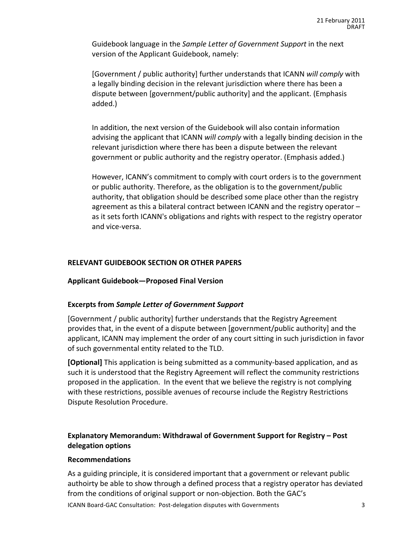Guidebook language in the Sample Letter of Government Support in the next version of the Applicant Guidebook, namely:

[Government / public authority] further understands that ICANN will comply with a legally binding decision in the relevant jurisdiction where there has been a dispute between [government/public authority] and the applicant. (Emphasis added.)

In addition, the next version of the Guidebook will also contain information advising the applicant that ICANN will comply with a legally binding decision in the relevant jurisdiction where there has been a dispute between the relevant government or public authority and the registry operator. (Emphasis added.)

However, ICANN's commitment to comply with court orders is to the government or public authority. Therefore, as the obligation is to the government/public authority, that obligation should be described some place other than the registry agreement as this a bilateral contract between ICANN and the registry operator  $$ as it sets forth ICANN's obligations and rights with respect to the registry operator and vice-versa.

# **RELEVANT GUIDEBOOK SECTION OR OTHER PAPERS**

# **Applicant%Guidebook—Proposed%Final%Version**

# **Excerpts%from%***Sample\*Letter\*of\*Government\*Support*

[Government / public authority] further understands that the Registry Agreement provides that, in the event of a dispute between [government/public authority] and the applicant, ICANN may implement the order of any court sitting in such jurisdiction in favor of such governmental entity related to the TLD.

**[Optional]** This application is being submitted as a community-based application, and as such it is understood that the Registry Agreement will reflect the community restrictions proposed in the application. In the event that we believe the registry is not complying with these restrictions, possible avenues of recourse include the Registry Restrictions Dispute Resolution Procedure.

# **Explanatory Memorandum: Withdrawal of Government Support for Registry – Post delegation%options**

#### **Recommendations**

As a guiding principle, it is considered important that a government or relevant public authoirty be able to show through a defined process that a registry operator has deviated from the conditions of original support or non-objection. Both the GAC's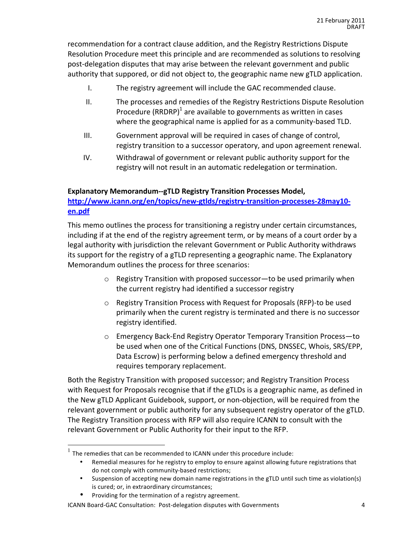recommendation for a contract clause addition, and the Registry Restrictions Dispute Resolution Procedure meet this principle and are recommended as solutions to resolving post-delegation disputes that may arise between the relevant government and public authority that suppored, or did not object to, the geographic name new gTLD application.

- I. The registry agreement will include the GAC recommended clause.
- II. The processes and remedies of the Registry Restrictions Dispute Resolution Procedure (RRDRP)<sup>1</sup> are available to governments as written in cases where the geographical name is applied for as a community-based TLD.
- $III.$  Government approval will be required in cases of change of control, registry transition to a successor operatory, and upon agreement renewal.
- IV. Withdrawal of government or relevant public authority support for the registry will not result in an automatic redelegation or termination.

# **Explanatory Memorandum--gTLD Registry Transition Processes Model,**

**http://www.icann.org/en/topics/new+gtlds/registry+transition+processes+28may10+ en.pdf**

This memo outlines the process for transitioning a registry under certain circumstances, including if at the end of the registry agreement term, or by means of a court order by a legal authority with jurisdiction the relevant Government or Public Authority withdraws its support for the registry of a gTLD representing a geographic name. The Explanatory Memorandum outlines the process for three scenarios:

- $\circ$  Registry Transition with proposed successor—to be used primarily when the current registry had identified a successor registry
- $\circ$  Registry Transition Process with Request for Proposals (RFP)-to be used primarily when the curent registry is terminated and there is no successor registry identified.
- $\circ$  Emergency Back-End Registry Operator Temporary Transition Process—to be used when one of the Critical Functions (DNS, DNSSEC, Whois, SRS/EPP, Data Escrow) is performing below a defined emergency threshold and requires temporary replacement.

Both the Registry Transition with proposed successor; and Registry Transition Process with Request for Proposals recognise that if the gTLDs is a geographic name, as defined in the New gTLD Applicant Guidebook, support, or non-objection, will be required from the relevant government or public authority for any subsequent registry operator of the gTLD. The Registry Transition process with RFP will also require ICANN to consult with the relevant Government or Public Authority for their input to the RFP.

 $1$  The remedies that can be recommended to ICANN under this procedure include:

Remedial measures for he registry to employ to ensure against allowing future registrations that do not comply with community-based restrictions;

<sup>•</sup> Suspension of accepting new domain name registrations in the gTLD until such time as violation(s) is cured; or, in extraordinary circumstances;

Providing for the termination of a registry agreement.

ICANN Board-GAC Consultation: Post-delegation disputes with Governments 4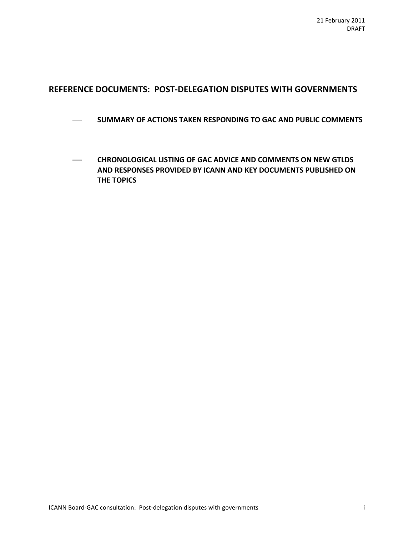# REFERENCE DOCUMENTS: POST-DELEGATION DISPUTES WITH GOVERNMENTS

- ! **SUMMARY!OF!ACTIONS!TAKEN!RESPONDING!TO!GAC!AND!PUBLIC!COMMENTS**
- **CHRONOLOGICAL LISTING OF GAC ADVICE AND COMMENTS ON NEW GTLDS AND RESPONSES PROVIDED BY ICANN AND KEY DOCUMENTS PUBLISHED ON THE TOPICS**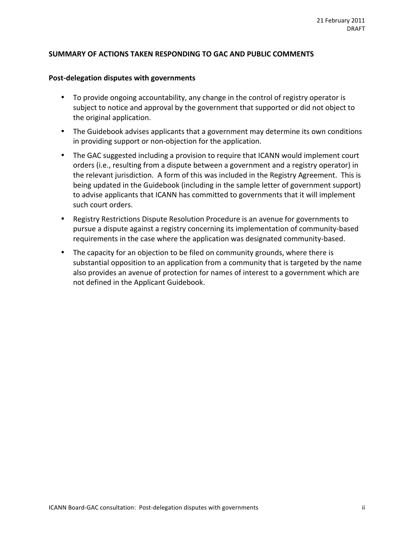#### SUMMARY OF ACTIONS TAKEN RESPONDING TO GAC AND PUBLIC COMMENTS

#### Post-delegation disputes with governments

- To provide ongoing accountability, any change in the control of registry operator is subject to notice and approval by the government that supported or did not object to the original application.
- The Guidebook advises applicants that a government may determine its own conditions in providing support or non-objection for the application.
- The GAC suggested including a provision to require that ICANN would implement court orders (i.e., resulting from a dispute between a government and a registry operator) in the relevant jurisdiction. A form of this was included in the Registry Agreement. This is being updated in the Guidebook (including in the sample letter of government support) to advise applicants that ICANN has committed to governments that it will implement such court orders.
- Registry Restrictions Dispute Resolution Procedure is an avenue for governments to pursue a dispute against a registry concerning its implementation of community-based requirements in the case where the application was designated community-based.
- The capacity for an objection to be filed on community grounds, where there is substantial opposition to an application from a community that is targeted by the name also provides an avenue of protection for names of interest to a government which are not defined in the Applicant Guidebook.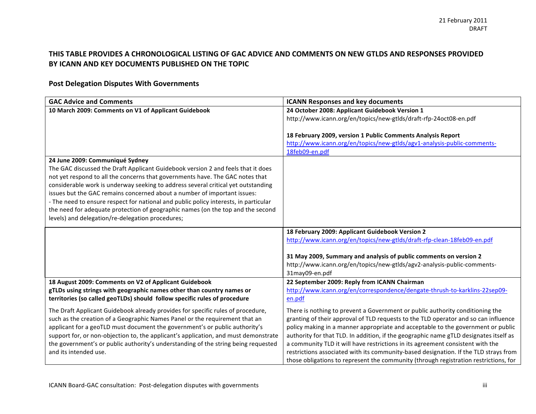# THIS TABLE PROVIDES A CHRONOLOGICAL LISTING OF GAC ADVICE AND COMMENTS ON NEW GTLDS AND RESPONSES PROVIDED BY ICANN AND KEY DOCUMENTS PUBLISHED ON THE TOPIC

# **Post Delegation Disputes With Governments**

| <b>GAC Advice and Comments</b>                                                       | <b>ICANN Responses and key documents</b>                                              |
|--------------------------------------------------------------------------------------|---------------------------------------------------------------------------------------|
| 10 March 2009: Comments on V1 of Applicant Guidebook                                 | 24 October 2008: Applicant Guidebook Version 1                                        |
|                                                                                      | http://www.icann.org/en/topics/new-gtlds/draft-rfp-24oct08-en.pdf                     |
|                                                                                      |                                                                                       |
|                                                                                      | 18 February 2009, version 1 Public Comments Analysis Report                           |
|                                                                                      | http://www.icann.org/en/topics/new-gtlds/agv1-analysis-public-comments-               |
|                                                                                      | 18feb09-en.pdf                                                                        |
| 24 June 2009: Communiqué Sydney                                                      |                                                                                       |
| The GAC discussed the Draft Applicant Guidebook version 2 and feels that it does     |                                                                                       |
| not yet respond to all the concerns that governments have. The GAC notes that        |                                                                                       |
| considerable work is underway seeking to address several critical yet outstanding    |                                                                                       |
| issues but the GAC remains concerned about a number of important issues:             |                                                                                       |
| - The need to ensure respect for national and public policy interests, in particular |                                                                                       |
| the need for adequate protection of geographic names (on the top and the second      |                                                                                       |
| levels) and delegation/re-delegation procedures;                                     |                                                                                       |
|                                                                                      | 18 February 2009: Applicant Guidebook Version 2                                       |
|                                                                                      | http://www.icann.org/en/topics/new-gtlds/draft-rfp-clean-18feb09-en.pdf               |
|                                                                                      |                                                                                       |
|                                                                                      | 31 May 2009, Summary and analysis of public comments on version 2                     |
|                                                                                      | http://www.icann.org/en/topics/new-gtlds/agv2-analysis-public-comments-               |
|                                                                                      | 31may09-en.pdf                                                                        |
| 18 August 2009: Comments on V2 of Applicant Guidebook                                | 22 September 2009: Reply from ICANN Chairman                                          |
| gTLDs using strings with geographic names other than country names or                | http://www.icann.org/en/correspondence/dengate-thrush-to-karklins-22sep09-            |
| territories (so called geoTLDs) should follow specific rules of procedure            | en.pdf                                                                                |
| The Draft Applicant Guidebook already provides for specific rules of procedure,      | There is nothing to prevent a Government or public authority conditioning the         |
| such as the creation of a Geographic Names Panel or the requirement that an          | granting of their approval of TLD requests to the TLD operator and so can influence   |
| applicant for a geoTLD must document the government's or public authority's          | policy making in a manner appropriate and acceptable to the government or public      |
| support for, or non-objection to, the applicant's application, and must demonstrate  | authority for that TLD. In addition, if the geographic name gTLD designates itself as |
| the government's or public authority's understanding of the string being requested   | a community TLD it will have restrictions in its agreement consistent with the        |
| and its intended use.                                                                | restrictions associated with its community-based designation. If the TLD strays from  |
|                                                                                      | those obligations to represent the community (through registration restrictions, for  |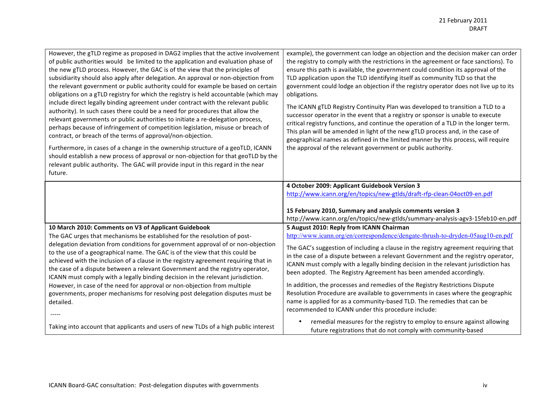| However, the gTLD regime as proposed in DAG2 implies that the active involvement<br>of public authorities would be limited to the application and evaluation phase of<br>the new gTLD process. However, the GAC is of the view that the principles of<br>subsidiarity should also apply after delegation. An approval or non-objection from<br>the relevant government or public authority could for example be based on certain<br>obligations on a gTLD registry for which the registry is held accountable (which may<br>include direct legally binding agreement under contract with the relevant public<br>authority). In such cases there could be a need for procedures that allow the<br>relevant governments or public authorities to initiate a re-delegation process,<br>perhaps because of infringement of competition legislation, misuse or breach of<br>contract, or breach of the terms of approval/non-objection.<br>Furthermore, in cases of a change in the ownership structure of a geoTLD, ICANN<br>should establish a new process of approval or non-objection for that geoTLD by the<br>relevant public authority. The GAC will provide input in this regard in the near<br>future. | example), the government can lodge an objection and the decision maker can order<br>the registry to comply with the restrictions in the agreement or face sanctions). To<br>ensure this path is available, the government could condition its approval of the<br>TLD application upon the TLD identifying itself as community TLD so that the<br>government could lodge an objection if the registry operator does not live up to its<br>obligations.<br>The ICANN gTLD Registry Continuity Plan was developed to transition a TLD to a<br>successor operator in the event that a registry or sponsor is unable to execute<br>critical registry functions, and continue the operation of a TLD in the longer term.<br>This plan will be amended in light of the new gTLD process and, in the case of<br>geographical names as defined in the limited manner by this process, will require<br>the approval of the relevant government or public authority. |
|------------------------------------------------------------------------------------------------------------------------------------------------------------------------------------------------------------------------------------------------------------------------------------------------------------------------------------------------------------------------------------------------------------------------------------------------------------------------------------------------------------------------------------------------------------------------------------------------------------------------------------------------------------------------------------------------------------------------------------------------------------------------------------------------------------------------------------------------------------------------------------------------------------------------------------------------------------------------------------------------------------------------------------------------------------------------------------------------------------------------------------------------------------------------------------------------------------|-----------------------------------------------------------------------------------------------------------------------------------------------------------------------------------------------------------------------------------------------------------------------------------------------------------------------------------------------------------------------------------------------------------------------------------------------------------------------------------------------------------------------------------------------------------------------------------------------------------------------------------------------------------------------------------------------------------------------------------------------------------------------------------------------------------------------------------------------------------------------------------------------------------------------------------------------------------|
|                                                                                                                                                                                                                                                                                                                                                                                                                                                                                                                                                                                                                                                                                                                                                                                                                                                                                                                                                                                                                                                                                                                                                                                                            | 4 October 2009: Applicant Guidebook Version 3<br>http://www.icann.org/en/topics/new-gtlds/draft-rfp-clean-04oct09-en.pdf<br>15 February 2010, Summary and analysis comments version 3<br>http://www.icann.org/en/topics/new-gtlds/summary-analysis-agv3-15feb10-en.pdf                                                                                                                                                                                                                                                                                                                                                                                                                                                                                                                                                                                                                                                                                    |
| 10 March 2010: Comments on V3 of Applicant Guidebook<br>The GAC urges that mechanisms be established for the resolution of post-<br>delegation deviation from conditions for government approval of or non-objection<br>to the use of a geographical name. The GAC is of the view that this could be<br>achieved with the inclusion of a clause in the registry agreement requiring that in<br>the case of a dispute between a relevant Government and the registry operator,<br>ICANN must comply with a legally binding decision in the relevant jurisdiction.<br>However, in case of the need for approval or non-objection from multiple<br>governments, proper mechanisms for resolving post delegation disputes must be<br>detailed.                                                                                                                                                                                                                                                                                                                                                                                                                                                                 | 5 August 2010: Reply from ICANN Chairman<br>http://www.icann.org/en/correspondence/dengate-thrush-to-dryden-05aug10-en.pdf<br>The GAC's suggestion of including a clause in the registry agreement requiring that<br>in the case of a dispute between a relevant Government and the registry operator,<br>ICANN must comply with a legally binding decision in the relevant jurisdiction has<br>been adopted. The Registry Agreement has been amended accordingly.<br>In addition, the processes and remedies of the Registry Restrictions Dispute<br>Resolution Procedure are available to governments in cases where the geographic<br>name is applied for as a community-based TLD. The remedies that can be<br>recommended to ICANN under this procedure include:                                                                                                                                                                                     |
| Taking into account that applicants and users of new TLDs of a high public interest                                                                                                                                                                                                                                                                                                                                                                                                                                                                                                                                                                                                                                                                                                                                                                                                                                                                                                                                                                                                                                                                                                                        | remedial measures for the registry to employ to ensure against allowing<br>future registrations that do not comply with community-based                                                                                                                                                                                                                                                                                                                                                                                                                                                                                                                                                                                                                                                                                                                                                                                                                   |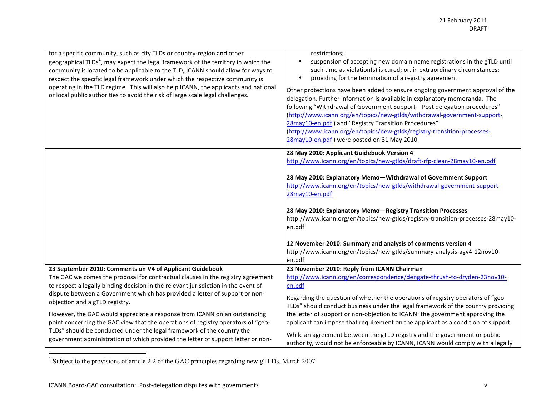| for a specific community, such as city TLDs or country-region and other<br>geographical $TLDs1$ , may expect the legal framework of the territory in which the<br>community is located to be applicable to the TLD, ICANN should allow for ways to<br>respect the specific legal framework under which the respective community is<br>operating in the TLD regime. This will also help ICANN, the applicants and national<br>or local public authorities to avoid the risk of large scale legal challenges.                                                                                                                                                                       | restrictions;<br>suspension of accepting new domain name registrations in the gTLD until<br>$\bullet$<br>such time as violation(s) is cured; or, in extraordinary circumstances;<br>providing for the termination of a registry agreement.<br>$\bullet$<br>Other protections have been added to ensure ongoing government approval of the<br>delegation. Further information is available in explanatory memoranda. The<br>following "Withdrawal of Government Support - Post delegation procedures"<br>(http://www.icann.org/en/topics/new-gtlds/withdrawal-government-support-<br>28may10-en.pdf) and "Registry Transition Procedures"<br>(http://www.icann.org/en/topics/new-gtlds/registry-transition-processes-<br>28may10-en.pdf) were posted on 31 May 2010. |
|-----------------------------------------------------------------------------------------------------------------------------------------------------------------------------------------------------------------------------------------------------------------------------------------------------------------------------------------------------------------------------------------------------------------------------------------------------------------------------------------------------------------------------------------------------------------------------------------------------------------------------------------------------------------------------------|---------------------------------------------------------------------------------------------------------------------------------------------------------------------------------------------------------------------------------------------------------------------------------------------------------------------------------------------------------------------------------------------------------------------------------------------------------------------------------------------------------------------------------------------------------------------------------------------------------------------------------------------------------------------------------------------------------------------------------------------------------------------|
|                                                                                                                                                                                                                                                                                                                                                                                                                                                                                                                                                                                                                                                                                   | 28 May 2010: Applicant Guidebook Version 4<br>http://www.icann.org/en/topics/new-gtlds/draft-rfp-clean-28may10-en.pdf<br>28 May 2010: Explanatory Memo-Withdrawal of Government Support<br>http://www.icann.org/en/topics/new-gtlds/withdrawal-government-support-<br>28may10-en.pdf<br>28 May 2010: Explanatory Memo-Registry Transition Processes<br>http://www.icann.org/en/topics/new-gtlds/registry-transition-processes-28may10-<br>en.pdf<br>12 November 2010: Summary and analysis of comments version 4<br>http://www.icann.org/en/topics/new-gtlds/summary-analysis-agv4-12nov10-<br>en.pdf                                                                                                                                                               |
| 23 September 2010: Comments on V4 of Applicant Guidebook<br>The GAC welcomes the proposal for contractual clauses in the registry agreement<br>to respect a legally binding decision in the relevant jurisdiction in the event of<br>dispute between a Government which has provided a letter of support or non-<br>objection and a gTLD registry.<br>However, the GAC would appreciate a response from ICANN on an outstanding<br>point concerning the GAC view that the operations of registry operators of "geo-<br>TLDs" should be conducted under the legal framework of the country the<br>government administration of which provided the letter of support letter or non- | 23 November 2010: Reply from ICANN Chairman<br>http://www.icann.org/en/correspondence/dengate-thrush-to-dryden-23nov10-<br>en.pdf<br>Regarding the question of whether the operations of registry operators of "geo-<br>TLDs" should conduct business under the legal framework of the country providing<br>the letter of support or non-objection to ICANN: the government approving the<br>applicant can impose that requirement on the applicant as a condition of support.<br>While an agreement between the gTLD registry and the government or public<br>authority, would not be enforceable by ICANN, ICANN would comply with a legally                                                                                                                      |

<sup>&</sup>lt;sup>1</sup> Subject to the provisions of article 2.2 of the GAC principles regarding new gTLDs, March 2007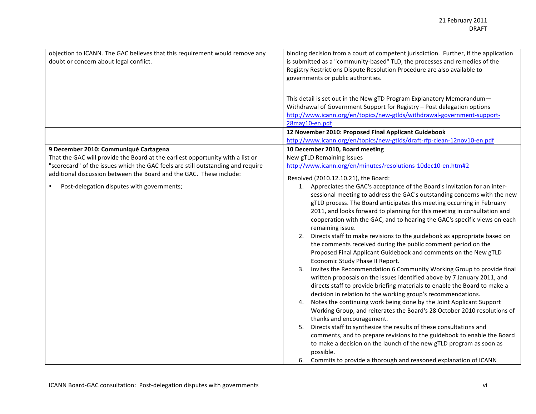| objection to ICANN. The GAC believes that this requirement would remove any<br>doubt or concern about legal conflict.                                                                                                                                                                                                           | binding decision from a court of competent jurisdiction. Further, if the application<br>is submitted as a "community-based" TLD, the processes and remedies of the<br>Registry Restrictions Dispute Resolution Procedure are also available to<br>governments or public authorities.<br>This detail is set out in the New gTD Program Explanatory Memorandum-<br>Withdrawal of Government Support for Registry - Post delegation options<br>http://www.icann.org/en/topics/new-gtlds/withdrawal-government-support-<br>28may10-en.pdf                                                                                                                                                                                                                                                                                                                                                                                                                                                                                                                                                                                                                                                                                                                                                                                                                                                                                                                                                                                                                                                                                                             |
|---------------------------------------------------------------------------------------------------------------------------------------------------------------------------------------------------------------------------------------------------------------------------------------------------------------------------------|---------------------------------------------------------------------------------------------------------------------------------------------------------------------------------------------------------------------------------------------------------------------------------------------------------------------------------------------------------------------------------------------------------------------------------------------------------------------------------------------------------------------------------------------------------------------------------------------------------------------------------------------------------------------------------------------------------------------------------------------------------------------------------------------------------------------------------------------------------------------------------------------------------------------------------------------------------------------------------------------------------------------------------------------------------------------------------------------------------------------------------------------------------------------------------------------------------------------------------------------------------------------------------------------------------------------------------------------------------------------------------------------------------------------------------------------------------------------------------------------------------------------------------------------------------------------------------------------------------------------------------------------------|
|                                                                                                                                                                                                                                                                                                                                 | 12 November 2010: Proposed Final Applicant Guidebook<br>http://www.icann.org/en/topics/new-gtlds/draft-rfp-clean-12nov10-en.pdf                                                                                                                                                                                                                                                                                                                                                                                                                                                                                                                                                                                                                                                                                                                                                                                                                                                                                                                                                                                                                                                                                                                                                                                                                                                                                                                                                                                                                                                                                                                   |
| 9 December 2010: Communiqué Cartagena<br>That the GAC will provide the Board at the earliest opportunity with a list or<br>"scorecard" of the issues which the GAC feels are still outstanding and require<br>additional discussion between the Board and the GAC. These include:<br>Post-delegation disputes with governments; | 10 December 2010, Board meeting<br>New gTLD Remaining Issues<br>http://www.icann.org/en/minutes/resolutions-10dec10-en.htm#2<br>Resolved (2010.12.10.21), the Board:<br>1. Appreciates the GAC's acceptance of the Board's invitation for an inter-<br>sessional meeting to address the GAC's outstanding concerns with the new<br>gTLD process. The Board anticipates this meeting occurring in February<br>2011, and looks forward to planning for this meeting in consultation and<br>cooperation with the GAC, and to hearing the GAC's specific views on each<br>remaining issue.<br>2. Directs staff to make revisions to the guidebook as appropriate based on<br>the comments received during the public comment period on the<br>Proposed Final Applicant Guidebook and comments on the New gTLD<br>Economic Study Phase II Report.<br>3. Invites the Recommendation 6 Community Working Group to provide final<br>written proposals on the issues identified above by 7 January 2011, and<br>directs staff to provide briefing materials to enable the Board to make a<br>decision in relation to the working group's recommendations.<br>4. Notes the continuing work being done by the Joint Applicant Support<br>Working Group, and reiterates the Board's 28 October 2010 resolutions of<br>thanks and encouragement.<br>5. Directs staff to synthesize the results of these consultations and<br>comments, and to prepare revisions to the guidebook to enable the Board<br>to make a decision on the launch of the new gTLD program as soon as<br>possible.<br>6. Commits to provide a thorough and reasoned explanation of ICANN |